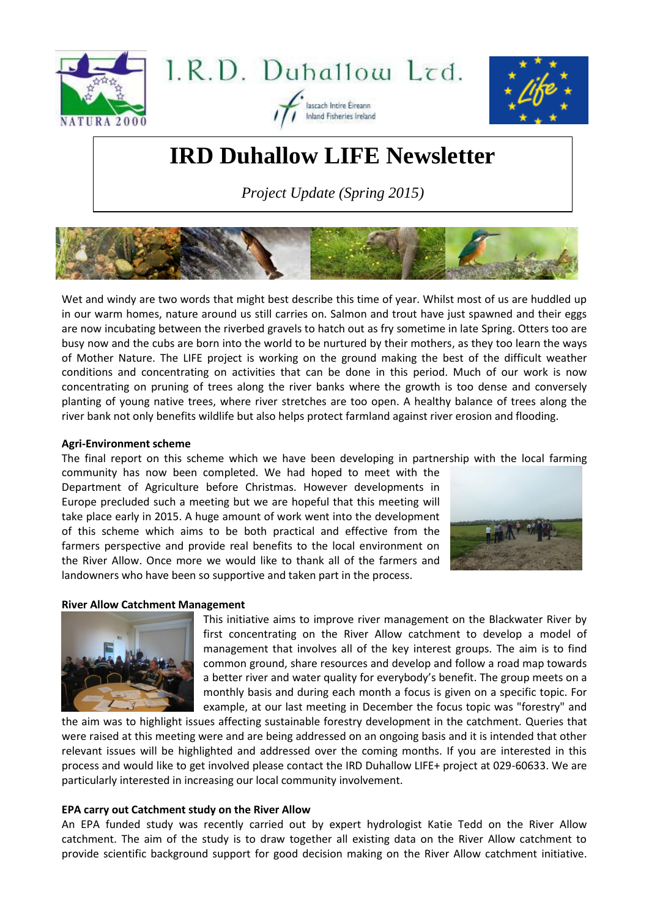





# **IRD Duhallow LIFE Newsletter**

lascach Intire Eireann Inland Fisheries Ireland

*Project Update (Spring 2015)*



Wet and windy are two words that might best describe this time of year. Whilst most of us are huddled up in our warm homes, nature around us still carries on. Salmon and trout have just spawned and their eggs are now incubating between the riverbed gravels to hatch out as fry sometime in late Spring. Otters too are busy now and the cubs are born into the world to be nurtured by their mothers, as they too learn the ways of Mother Nature. The LIFE project is working on the ground making the best of the difficult weather conditions and concentrating on activities that can be done in this period. Much of our work is now concentrating on pruning of trees along the river banks where the growth is too dense and conversely planting of young native trees, where river stretches are too open. A healthy balance of trees along the river bank not only benefits wildlife but also helps protect farmland against river erosion and flooding.

# **Agri-Environment scheme**

The final report on this scheme which we have been developing in partnership with the local farming

community has now been completed. We had hoped to meet with the Department of Agriculture before Christmas. However developments in Europe precluded such a meeting but we are hopeful that this meeting will take place early in 2015. A huge amount of work went into the development of this scheme which aims to be both practical and effective from the farmers perspective and provide real benefits to the local environment on the River Allow. Once more we would like to thank all of the farmers and landowners who have been so supportive and taken part in the process.



# **River Allow Catchment Management**



This initiative aims to improve river management on the Blackwater River by first concentrating on the River Allow catchment to develop a model of management that involves all of the key interest groups. The aim is to find common ground, share resources and develop and follow a road map towards a better river and water quality for everybody's benefit. The group meets on a monthly basis and during each month a focus is given on a specific topic. For example, at our last meeting in December the focus topic was "forestry" and

the aim was to highlight issues affecting sustainable forestry development in the catchment. Queries that were raised at this meeting were and are being addressed on an ongoing basis and it is intended that other relevant issues will be highlighted and addressed over the coming months. If you are interested in this process and would like to get involved please contact the IRD Duhallow LIFE+ project at 029-60633. We are particularly interested in increasing our local community involvement.

# **EPA carry out Catchment study on the River Allow**

An EPA funded study was recently carried out by expert hydrologist Katie Tedd on the River Allow catchment. The aim of the study is to draw together all existing data on the River Allow catchment to provide scientific background support for good decision making on the River Allow catchment initiative.